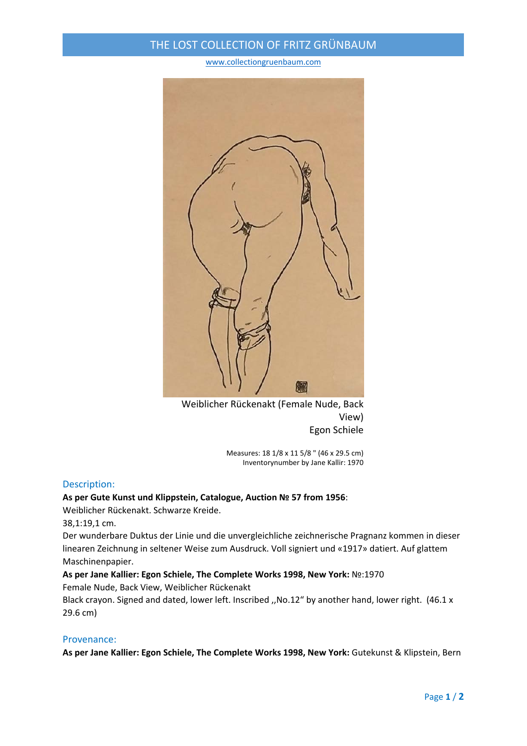## THE LOST COLLECTION OF FRITZ GRÜNBAUM

#### www.collectiongruenbaum.com



Weiblicher Rückenakt (Female Nude, Back View) Egon Schiele

> Measures: 18 1/8 x 11 5/8 " (46 x 29.5 cm) Inventorynumber by Jane Kallir: 1970

### Description:

### **As per Gute Kunst und Klippstein, Catalogue, Auction № 57 from 1956**:

Weiblicher Rückenakt. Schwarze Kreide.

38,1:19,1 cm.

Der wunderbare Duktus der Linie und die unvergleichliche zeichnerische Pragnanz kommen in dieser linearen Zeichnung in seltener Weise zum Ausdruck. Voll signiert und «1917» datiert. Auf glattem Maschinenpapier.

### **As per Jane Kallier: Egon Schiele, The Complete Works 1998, New York:** №:1970

Female Nude, Back View, Weiblicher Rückenakt

Black crayon. Signed and dated, lower left. Inscribed ,,No.12" by another hand, lower right. (46.1 x 29.6 cm)

### Provenance:

**As per Jane Kallier: Egon Schiele, The Complete Works 1998, New York:** Gutekunst & Klipstein, Bern